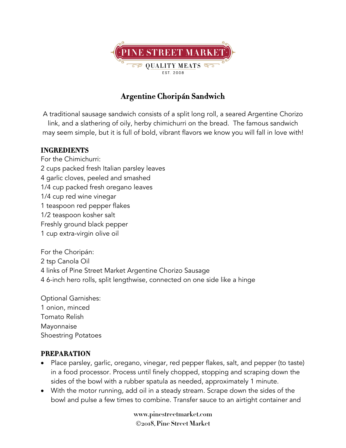

## **Argentine Choripán Sandwich**

A traditional sausage sandwich consists of a split long roll, a seared Argentine Chorizo link, and a slathering of oily, herby chimichurri on the bread. The famous sandwich may seem simple, but it is full of bold, vibrant flavors we know you will fall in love with!

## **INGREDIENTS**

For the Chimichurri: 2 cups packed fresh Italian parsley leaves 4 garlic cloves, peeled and smashed 1/4 cup packed fresh oregano leaves 1/4 cup red wine vinegar 1 teaspoon red pepper flakes 1/2 teaspoon kosher salt Freshly ground black pepper 1 cup extra-virgin olive oil

For the Choripán: tsp Canola Oil links of Pine Street Market Argentine Chorizo Sausage 6-inch hero rolls, split lengthwise, connected on one side like a hinge

Optional Garnishes: 1 onion, minced Tomato Relish Mayonnaise Shoestring Potatoes

## **PREPARATION**

- Place parsley, garlic, oregano, vinegar, red pepper flakes, salt, and pepper (to taste) in a food processor. Process until finely chopped, stopping and scraping down the sides of the bowl with a rubber spatula as needed, approximately 1 minute.
- With the motor running, add oil in a steady stream. Scrape down the sides of the bowl and pulse a few times to combine. Transfer sauce to an airtight container and

**www.pinestreetmarket.com** Ó**2018, Pine Street Market**